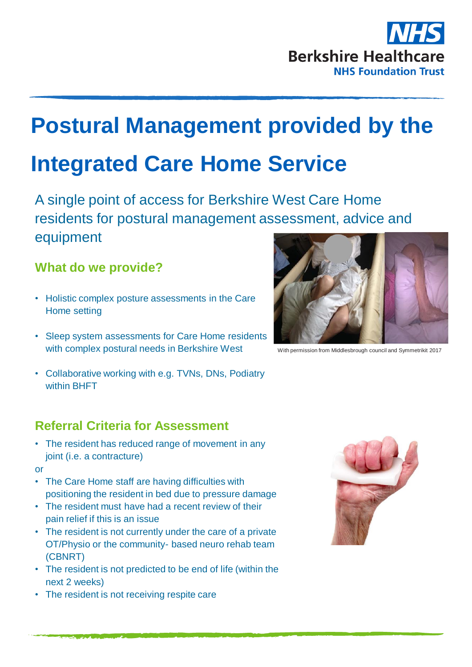

# **Postural Management provided by the**

# **Integrated Care Home Service**

A single point of access for Berkshire West Care Home residents for postural management assessment, advice and equipment

### **What do we provide?**

- Holistic complex posture assessments in the Care Home setting
- Sleep system assessments for Care Home residents with complex postural needs in Berkshire West
- Collaborative working with e.g. TVNs, DNs, Podiatry within BHFT

### **Referral Criteria for Assessment**

• The resident has reduced range of movement in any joint (i.e. a contracture)

#### or

- The Care Home staff are having difficulties with positioning the resident in bed due to pressure damage
- The resident must have had a recent review of their pain relief if this is an issue
- The resident is not currently under the care of a private OT/Physio or the community- based neuro rehab team (CBNRT)
- The resident is not predicted to be end of life (within the next 2 weeks)
- The resident is not receiving respite care



With permission from Middlesbrough council and Symmetrikit 2017